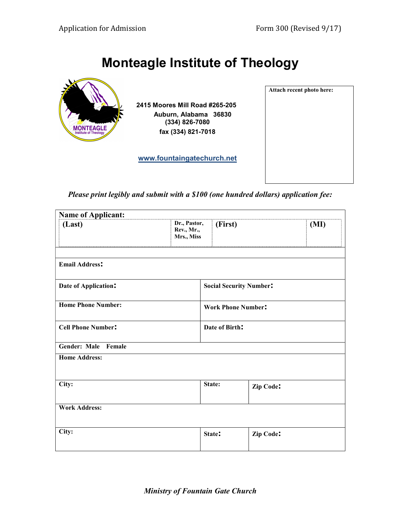Attach recent photo here:

# Monteagle Institute of Theology



 2415 Moores Mill Road #265-205 Auburn, Alabama 36830 (334) 826-7080 fax (334) 821-7018

www.fountaingatechurch.net

Please print legibly and submit with a \$100 (one hundred dollars) application fee:

| <b>Name of Applicant:</b> |                                          |                                |           |
|---------------------------|------------------------------------------|--------------------------------|-----------|
| (Last)                    | Dr., Pastor,<br>Rev., Mr.,<br>Mrs., Miss | (First)                        | (MI)      |
| <b>Email Address:</b>     |                                          |                                |           |
| Date of Application:      |                                          | <b>Social Security Number:</b> |           |
| <b>Home Phone Number:</b> |                                          | <b>Work Phone Number:</b>      |           |
| <b>Cell Phone Number:</b> |                                          | Date of Birth:                 |           |
| Gender: Male<br>Female    |                                          |                                |           |
| <b>Home Address:</b>      |                                          |                                |           |
| City:                     |                                          | State:                         | Zip Code: |
| <b>Work Address:</b>      |                                          |                                |           |
| City:                     |                                          | State:                         | Zip Code: |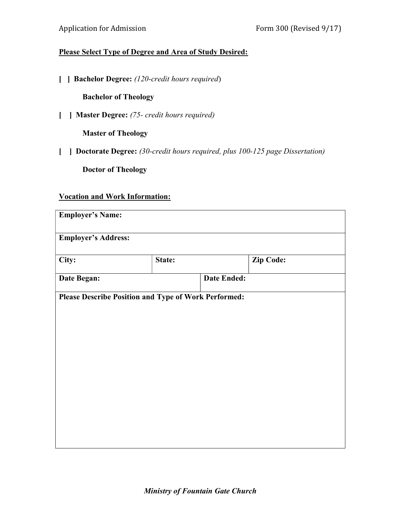## Please Select Type of Degree and Area of Study Desired:

[ ] **Bachelor Degree:** (120-credit hours required)

Bachelor of Theology

[ ] **Master Degree:** (75- credit hours required)

Master of Theology

[ ] **Doctorate Degree:** (30-credit hours required, plus 100-125 page Dissertation)

Doctor of Theology

#### Vocation and Work Information:

| <b>Employer's Name:</b>                              |        |                    |           |
|------------------------------------------------------|--------|--------------------|-----------|
| <b>Employer's Address:</b>                           |        |                    |           |
| City:                                                | State: |                    | Zip Code: |
| Date Began:                                          |        | <b>Date Ended:</b> |           |
| Please Describe Position and Type of Work Performed: |        |                    |           |
|                                                      |        |                    |           |
|                                                      |        |                    |           |
|                                                      |        |                    |           |
|                                                      |        |                    |           |
|                                                      |        |                    |           |
|                                                      |        |                    |           |
|                                                      |        |                    |           |
|                                                      |        |                    |           |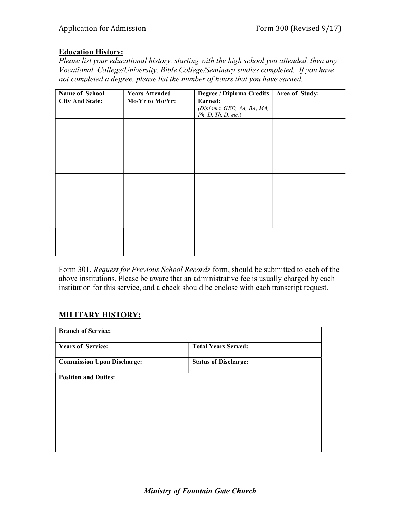### Education History:

Please list your educational history, starting with the high school you attended, then any Vocational, College/University, Bible College/Seminary studies completed. If you have not completed a degree, please list the number of hours that you have earned.

| Name of School         | <b>Years Attended</b> | <b>Degree / Diploma Credits</b> | Area of Study: |
|------------------------|-----------------------|---------------------------------|----------------|
| <b>City And State:</b> | Mo/Yr to Mo/Yr:       | Earned:                         |                |
|                        |                       | (Diploma, GED, AA, BA, MA,      |                |
|                        |                       | Ph. D. Th. D. etc.)             |                |
|                        |                       |                                 |                |
|                        |                       |                                 |                |
|                        |                       |                                 |                |
|                        |                       |                                 |                |
|                        |                       |                                 |                |
|                        |                       |                                 |                |
|                        |                       |                                 |                |
|                        |                       |                                 |                |
|                        |                       |                                 |                |
|                        |                       |                                 |                |
|                        |                       |                                 |                |
|                        |                       |                                 |                |
|                        |                       |                                 |                |
|                        |                       |                                 |                |
|                        |                       |                                 |                |
|                        |                       |                                 |                |
|                        |                       |                                 |                |
|                        |                       |                                 |                |
|                        |                       |                                 |                |

Form 301, Request for Previous School Records form, should be submitted to each of the above institutions. Please be aware that an administrative fee is usually charged by each institution for this service, and a check should be enclose with each transcript request.

## MILITARY HISTORY:

| <b>Branch of Service:</b>         |                             |
|-----------------------------------|-----------------------------|
| <b>Years of Service:</b>          | <b>Total Years Served:</b>  |
| <b>Commission Upon Discharge:</b> | <b>Status of Discharge:</b> |
| <b>Position and Duties:</b>       |                             |
|                                   |                             |
|                                   |                             |
|                                   |                             |
|                                   |                             |
|                                   |                             |
|                                   |                             |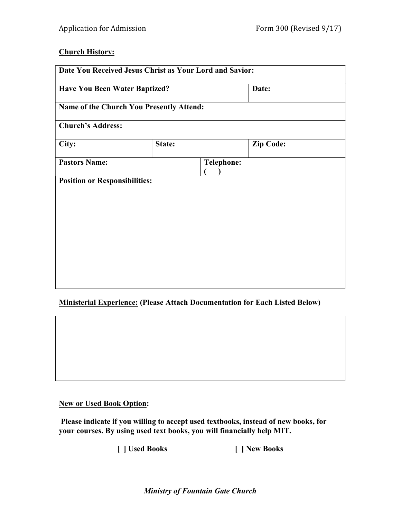## Church History:

| <b>Have You Been Water Baptized?</b>     |        | Date:             |                  |  |
|------------------------------------------|--------|-------------------|------------------|--|
| Name of the Church You Presently Attend: |        |                   |                  |  |
| <b>Church's Address:</b>                 |        |                   |                  |  |
| City:                                    | State: |                   | <b>Zip Code:</b> |  |
| <b>Pastors Name:</b>                     |        | <b>Telephone:</b> |                  |  |
| <b>Position or Responsibilities:</b>     |        |                   |                  |  |
|                                          |        |                   |                  |  |
|                                          |        |                   |                  |  |
|                                          |        |                   |                  |  |
|                                          |        |                   |                  |  |
|                                          |        |                   |                  |  |
|                                          |        |                   |                  |  |

#### Ministerial Experience: (Please Attach Documentation for Each Listed Below)

#### New or Used Book Option:

 Please indicate if you willing to accept used textbooks, instead of new books, for your courses. By using used text books, you will financially help MIT.

[ ] Used Books [ ] New Books

Ministry of Fountain Gate Church